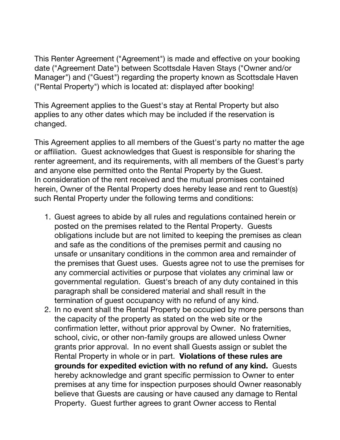This Renter Agreement ("Agreement") is made and effective on your booking date ("Agreement Date") between Scottsdale Haven Stays ("Owner and/or Manager") and ("Guest") regarding the property known as Scottsdale Haven ("Rental Property") which is located at: displayed after booking!

This Agreement applies to the Guest's stay at Rental Property but also applies to any other dates which may be included if the reservation is changed.

This Agreement applies to all members of the Guest's party no matter the age or affiliation. Guest acknowledges that Guest is responsible for sharing the renter agreement, and its requirements, with all members of the Guest's party and anyone else permitted onto the Rental Property by the Guest. In consideration of the rent received and the mutual promises contained herein, Owner of the Rental Property does hereby lease and rent to Guest(s) such Rental Property under the following terms and conditions:

- 1. Guest agrees to abide by all rules and regulations contained herein or posted on the premises related to the Rental Property. Guests obligations include but are not limited to keeping the premises as clean and safe as the conditions of the premises permit and causing no unsafe or unsanitary conditions in the common area and remainder of the premises that Guest uses. Guests agree not to use the premises for any commercial activities or purpose that violates any criminal law or governmental regulation. Guest's breach of any duty contained in this paragraph shall be considered material and shall result in the termination of guest occupancy with no refund of any kind.
- 2. In no event shall the Rental Property be occupied by more persons than the capacity of the property as stated on the web site or the confirmation letter, without prior approval by Owner. No fraternities, school, civic, or other non-family groups are allowed unless Owner grants prior approval. In no event shall Guests assign or sublet the Rental Property in whole or in part. **Violations of these rules are grounds for expedited eviction with no refund of any kind.** Guests hereby acknowledge and grant specific permission to Owner to enter premises at any time for inspection purposes should Owner reasonably believe that Guests are causing or have caused any damage to Rental Property. Guest further agrees to grant Owner access to Rental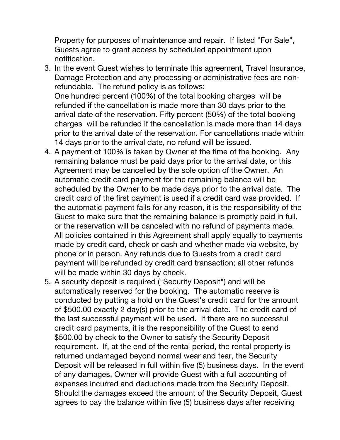Property for purposes of maintenance and repair. If listed "For Sale", Guests agree to grant access by scheduled appointment upon notification.

- 3. In the event Guest wishes to terminate this agreement, Travel Insurance, Damage Protection and any processing or administrative fees are nonrefundable. The refund policy is as follows: One hundred percent (100%) of the total booking charges will be refunded if the cancellation is made more than 30 days prior to the arrival date of the reservation. Fifty percent (50%) of the total booking charges will be refunded if the cancellation is made more than 14 days prior to the arrival date of the reservation. For cancellations made within 14 days prior to the arrival date, no refund will be issued.
- 4. A payment of 100% is taken by Owner at the time of the booking. Any remaining balance must be paid days prior to the arrival date, or this Agreement may be cancelled by the sole option of the Owner. An automatic credit card payment for the remaining balance will be scheduled by the Owner to be made days prior to the arrival date. The credit card of the first payment is used if a credit card was provided. If the automatic payment fails for any reason, it is the responsibility of the Guest to make sure that the remaining balance is promptly paid in full, or the reservation will be canceled with no refund of payments made. All policies contained in this Agreement shall apply equally to payments made by credit card, check or cash and whether made via website, by phone or in person. Any refunds due to Guests from a credit card payment will be refunded by credit card transaction; all other refunds will be made within 30 days by check.
- 5. A security deposit is required ("Security Deposit") and will be automatically reserved for the booking. The automatic reserve is conducted by putting a hold on the Guest's credit card for the amount of \$500.00 exactly 2 day(s) prior to the arrival date. The credit card of the last successful payment will be used. If there are no successful credit card payments, it is the responsibility of the Guest to send \$500.00 by check to the Owner to satisfy the Security Deposit requirement. If, at the end of the rental period, the rental property is returned undamaged beyond normal wear and tear, the Security Deposit will be released in full within five (5) business days. In the event of any damages, Owner will provide Guest with a full accounting of expenses incurred and deductions made from the Security Deposit. Should the damages exceed the amount of the Security Deposit, Guest agrees to pay the balance within five (5) business days after receiving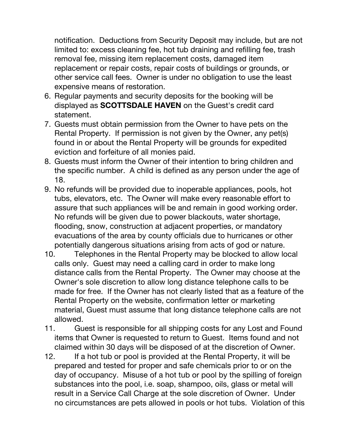notification. Deductions from Security Deposit may include, but are not limited to: excess cleaning fee, hot tub draining and refilling fee, trash removal fee, missing item replacement costs, damaged item replacement or repair costs, repair costs of buildings or grounds, or other service call fees. Owner is under no obligation to use the least expensive means of restoration.

- 6. Regular payments and security deposits for the booking will be displayed as **SCOTTSDALE HAVEN** on the Guest's credit card statement.
- 7. Guests must obtain permission from the Owner to have pets on the Rental Property. If permission is not given by the Owner, any pet(s) found in or about the Rental Property will be grounds for expedited eviction and forfeiture of all monies paid.
- 8. Guests must inform the Owner of their intention to bring children and the specific number. A child is defined as any person under the age of 18.
- 9. No refunds will be provided due to inoperable appliances, pools, hot tubs, elevators, etc. The Owner will make every reasonable effort to assure that such appliances will be and remain in good working order. No refunds will be given due to power blackouts, water shortage, flooding, snow, construction at adjacent properties, or mandatory evacuations of the area by county officials due to hurricanes or other potentially dangerous situations arising from acts of god or nature.
- 10. Telephones in the Rental Property may be blocked to allow local calls only. Guest may need a calling card in order to make long distance calls from the Rental Property. The Owner may choose at the Owner's sole discretion to allow long distance telephone calls to be made for free. If the Owner has not clearly listed that as a feature of the Rental Property on the website, confirmation letter or marketing material, Guest must assume that long distance telephone calls are not allowed.
- 11. Guest is responsible for all shipping costs for any Lost and Found items that Owner is requested to return to Guest. Items found and not claimed within 30 days will be disposed of at the discretion of Owner.
- 12. If a hot tub or pool is provided at the Rental Property, it will be prepared and tested for proper and safe chemicals prior to or on the day of occupancy. Misuse of a hot tub or pool by the spilling of foreign substances into the pool, i.e. soap, shampoo, oils, glass or metal will result in a Service Call Charge at the sole discretion of Owner. Under no circumstances are pets allowed in pools or hot tubs. Violation of this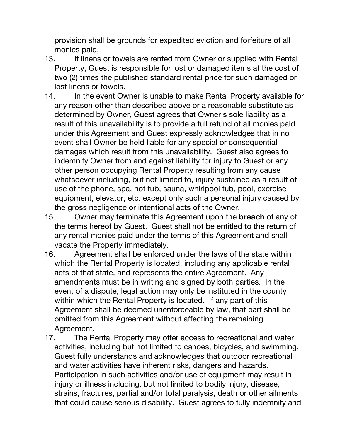provision shall be grounds for expedited eviction and forfeiture of all monies paid.

- 13. If linens or towels are rented from Owner or supplied with Rental Property, Guest is responsible for lost or damaged items at the cost of two (2) times the published standard rental price for such damaged or lost linens or towels.
- 14. In the event Owner is unable to make Rental Property available for any reason other than described above or a reasonable substitute as determined by Owner, Guest agrees that Owner's sole liability as a result of this unavailability is to provide a full refund of all monies paid under this Agreement and Guest expressly acknowledges that in no event shall Owner be held liable for any special or consequential damages which result from this unavailability. Guest also agrees to indemnify Owner from and against liability for injury to Guest or any other person occupying Rental Property resulting from any cause whatsoever including, but not limited to, injury sustained as a result of use of the phone, spa, hot tub, sauna, whirlpool tub, pool, exercise equipment, elevator, etc. except only such a personal injury caused by the gross negligence or intentional acts of the Owner.
- 15. Owner may terminate this Agreement upon the **breach** of any of the terms hereof by Guest. Guest shall not be entitled to the return of any rental monies paid under the terms of this Agreement and shall vacate the Property immediately.
- 16. Agreement shall be enforced under the laws of the state within which the Rental Property is located, including any applicable rental acts of that state, and represents the entire Agreement. Any amendments must be in writing and signed by both parties. In the event of a dispute, legal action may only be instituted in the county within which the Rental Property is located. If any part of this Agreement shall be deemed unenforceable by law, that part shall be omitted from this Agreement without affecting the remaining Agreement.
- 17. The Rental Property may offer access to recreational and water activities, including but not limited to canoes, bicycles, and swimming. Guest fully understands and acknowledges that outdoor recreational and water activities have inherent risks, dangers and hazards. Participation in such activities and/or use of equipment may result in injury or illness including, but not limited to bodily injury, disease, strains, fractures, partial and/or total paralysis, death or other ailments that could cause serious disability. Guest agrees to fully indemnify and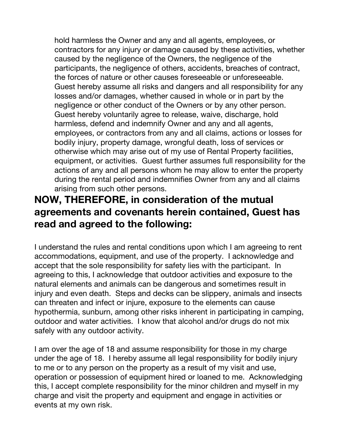hold harmless the Owner and any and all agents, employees, or contractors for any injury or damage caused by these activities, whether caused by the negligence of the Owners, the negligence of the participants, the negligence of others, accidents, breaches of contract, the forces of nature or other causes foreseeable or unforeseeable. Guest hereby assume all risks and dangers and all responsibility for any losses and/or damages, whether caused in whole or in part by the negligence or other conduct of the Owners or by any other person. Guest hereby voluntarily agree to release, waive, discharge, hold harmless, defend and indemnify Owner and any and all agents, employees, or contractors from any and all claims, actions or losses for bodily injury, property damage, wrongful death, loss of services or otherwise which may arise out of my use of Rental Property facilities, equipment, or activities. Guest further assumes full responsibility for the actions of any and all persons whom he may allow to enter the property during the rental period and indemnifies Owner from any and all claims arising from such other persons.

## **NOW, THEREFORE, in consideration of the mutual agreements and covenants herein contained, Guest has read and agreed to the following:**

I understand the rules and rental conditions upon which I am agreeing to rent accommodations, equipment, and use of the property. I acknowledge and accept that the sole responsibility for safety lies with the participant. In agreeing to this, I acknowledge that outdoor activities and exposure to the natural elements and animals can be dangerous and sometimes result in injury and even death. Steps and decks can be slippery, animals and insects can threaten and infect or injure, exposure to the elements can cause hypothermia, sunburn, among other risks inherent in participating in camping, outdoor and water activities. I know that alcohol and/or drugs do not mix safely with any outdoor activity.

I am over the age of 18 and assume responsibility for those in my charge under the age of 18. I hereby assume all legal responsibility for bodily injury to me or to any person on the property as a result of my visit and use, operation or possession of equipment hired or loaned to me. Acknowledging this, I accept complete responsibility for the minor children and myself in my charge and visit the property and equipment and engage in activities or events at my own risk.